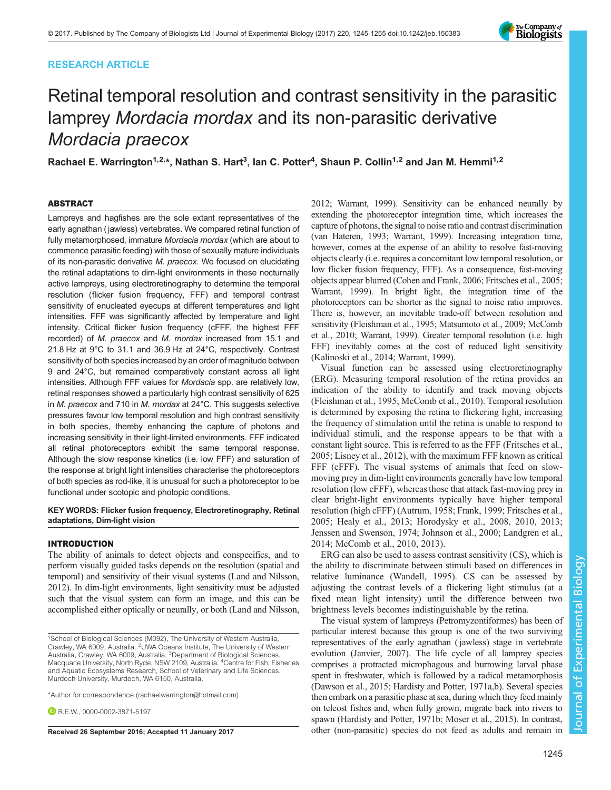# RESEARCH ARTICLE



# Retinal temporal resolution and contrast sensitivity in the parasitic lamprey Mordacia mordax and its non-parasitic derivative Mordacia praecox

Rachael E. Warrington<sup>1,2,</sup>\*, Nathan S. Hart<sup>3</sup>, Ian C. Potter<sup>4</sup>, Shaun P. Collin<sup>1,2</sup> and Jan M. Hemmi<sup>1,2</sup>

### ABSTRACT

Lampreys and hagfishes are the sole extant representatives of the early agnathan ( jawless) vertebrates. We compared retinal function of fully metamorphosed, immature Mordacia mordax (which are about to commence parasitic feeding) with those of sexually mature individuals of its non-parasitic derivative M. praecox. We focused on elucidating the retinal adaptations to dim-light environments in these nocturnally active lampreys, using electroretinography to determine the temporal resolution (flicker fusion frequency, FFF) and temporal contrast sensitivity of enucleated eyecups at different temperatures and light intensities. FFF was significantly affected by temperature and light intensity. Critical flicker fusion frequency (cFFF, the highest FFF recorded) of M. praecox and M. mordax increased from 15.1 and 21.8 Hz at 9°C to 31.1 and 36.9 Hz at 24°C, respectively. Contrast sensitivity of both species increased by an order of magnitude between 9 and 24°C, but remained comparatively constant across all light intensities. Although FFF values for Mordacia spp. are relatively low, retinal responses showed a particularly high contrast sensitivity of 625 in M. praecox and 710 in M. mordax at 24°C. This suggests selective pressures favour low temporal resolution and high contrast sensitivity in both species, thereby enhancing the capture of photons and increasing sensitivity in their light-limited environments. FFF indicated all retinal photoreceptors exhibit the same temporal response. Although the slow response kinetics (i.e. low FFF) and saturation of the response at bright light intensities characterise the photoreceptors of both species as rod-like, it is unusual for such a photoreceptor to be functional under scotopic and photopic conditions.

### KEY WORDS: Flicker fusion frequency, Electroretinography, Retinal adaptations, Dim-light vision

# INTRODUCTION

The ability of animals to detect objects and conspecifics, and to perform visually guided tasks depends on the resolution (spatial and temporal) and sensitivity of their visual systems ([Land and Nilsson,](#page-10-0) [2012\)](#page-10-0). In dim-light environments, light sensitivity must be adjusted such that the visual system can form an image, and this can be accomplished either optically or neurally, or both ([Land and Nilsson,](#page-10-0)

\*Author for correspondence [\(rachaelwarrington@hotmail.com](mailto:rachaelwarrington@hotmail.com))

**DR.E.W., [0000-0002-3871-5197](http://orcid.org/0000-0002-3871-5197)** 

[2012; Warrant, 1999\)](#page-10-0). Sensitivity can be enhanced neurally by extending the photoreceptor integration time, which increases the capture of photons, the signal to noise ratio and contrast discrimination [\(van Hateren, 1993](#page-10-0); [Warrant, 1999](#page-10-0)). Increasing integration time, however, comes at the expense of an ability to resolve fast-moving objects clearly (i.e. requires a concomitant low temporal resolution, or low flicker fusion frequency, FFF). As a consequence, fast-moving objects appear blurred [\(Cohen and Frank, 2006](#page-9-0); [Fritsches et al., 2005](#page-9-0); [Warrant, 1999](#page-10-0)). In bright light, the integration time of the photoreceptors can be shorter as the signal to noise ratio improves. There is, however, an inevitable trade-off between resolution and sensitivity [\(Fleishman et al., 1995](#page-9-0); [Matsumoto et al., 2009](#page-10-0); [McComb](#page-10-0) [et al., 2010](#page-10-0); [Warrant, 1999](#page-10-0)). Greater temporal resolution (i.e. high FFF) inevitably comes at the cost of reduced light sensitivity [\(Kalinoski et al., 2014; Warrant, 1999](#page-10-0)).

Visual function can be assessed using electroretinography (ERG). Measuring temporal resolution of the retina provides an indication of the ability to identify and track moving objects [\(Fleishman et al., 1995;](#page-9-0) [McComb et al., 2010](#page-10-0)). Temporal resolution is determined by exposing the retina to flickering light, increasing the frequency of stimulation until the retina is unable to respond to individual stimuli, and the response appears to be that with a constant light source. This is referred to as the FFF [\(Fritsches et al.,](#page-9-0) [2005;](#page-9-0) [Lisney et al., 2012\)](#page-10-0), with the maximum FFF known as critical FFF (cFFF). The visual systems of animals that feed on slowmoving prey in dim-light environments generally have low temporal resolution (low cFFF), whereas those that attack fast-moving prey in clear bright-light environments typically have higher temporal resolution (high cFFF) [\(Autrum, 1958; Frank, 1999; Fritsches et al.,](#page-9-0) [2005; Healy et al., 2013; Horodysky et al., 2008, 2010, 2013](#page-9-0); [Jenssen and Swenson, 1974; Johnson et al., 2000](#page-9-0); [Landgren et al.,](#page-10-0) [2014; McComb et al., 2010](#page-10-0), [2013](#page-10-0)).

ERG can also be used to assess contrast sensitivity (CS), which is the ability to discriminate between stimuli based on differences in relative luminance ([Wandell, 1995\)](#page-10-0). CS can be assessed by adjusting the contrast levels of a flickering light stimulus (at a fixed mean light intensity) until the difference between two brightness levels becomes indistinguishable by the retina.

The visual system of lampreys (Petromyzontiformes) has been of particular interest because this group is one of the two surviving representatives of the early agnathan ( jawless) stage in vertebrate evolution [\(Janvier, 2007\)](#page-9-0). The life cycle of all lamprey species comprises a protracted microphagous and burrowing larval phase spent in freshwater, which is followed by a radical metamorphosis [\(Dawson et al., 2015](#page-9-0); [Hardisty and Potter, 1971a,b](#page-9-0)). Several species then embark on a parasitic phase at sea, during which they feed mainly on teleost fishes and, when fully grown, migrate back into rivers to spawn [\(Hardisty and Potter, 1971b](#page-9-0); [Moser et al., 2015\)](#page-10-0). In contrast, Received 26 September 2016; Accepted 11 January 2017 other (non-parasitic) species do not feed as adults and remain in

<sup>&</sup>lt;sup>1</sup>School of Biological Sciences (M092), The University of Western Australia, Crawley, WA 6009, Australia. <sup>2</sup>UWA Oceans Institute, The University of Western Australia, Crawley, WA 6009, Australia. <sup>3</sup>Department of Biological Sciences, Macquarie University, North Ryde, NSW 2109, Australia. <sup>4</sup>Centre for Fish, Fisheries and Aquatic Ecosystems Research, School of Veterinary and Life Sciences, Murdoch University, Murdoch, WA 6150, Australia.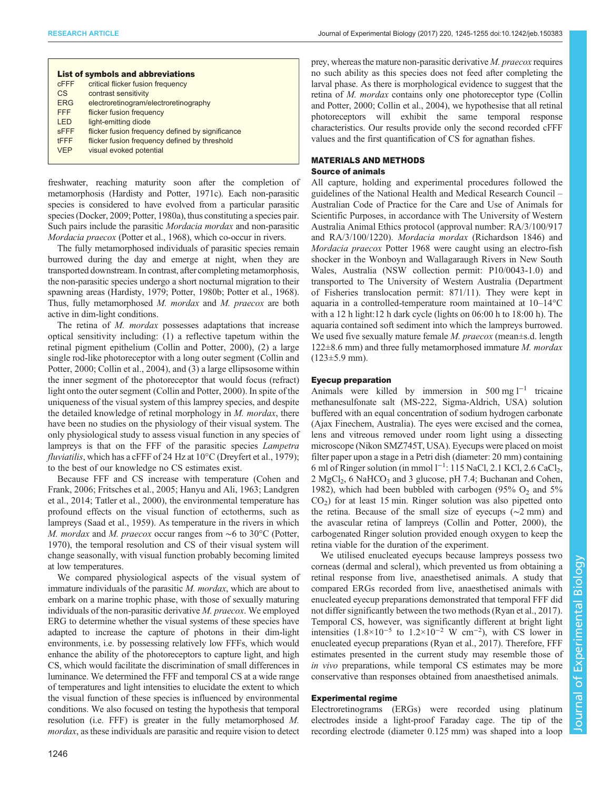| <b>List of symbols and abbreviations</b> |                                                  |  |  |  |  |  |  |
|------------------------------------------|--------------------------------------------------|--|--|--|--|--|--|
| <b>CFFF</b>                              | critical flicker fusion frequency                |  |  |  |  |  |  |
| <b>CS</b>                                | contrast sensitivity                             |  |  |  |  |  |  |
| <b>FRG</b>                               | electroretinogram/electroretinography            |  |  |  |  |  |  |
| <b>FFF</b>                               | flicker fusion frequency                         |  |  |  |  |  |  |
| I FD                                     | light-emitting diode                             |  |  |  |  |  |  |
| <b>SFFF</b>                              | flicker fusion frequency defined by significance |  |  |  |  |  |  |
| <b>tFFF</b>                              | flicker fusion frequency defined by threshold    |  |  |  |  |  |  |
| <b>VFP</b>                               | visual evoked potential                          |  |  |  |  |  |  |
|                                          |                                                  |  |  |  |  |  |  |

freshwater, reaching maturity soon after the completion of metamorphosis [\(Hardisty and Potter, 1971c\)](#page-9-0). Each non-parasitic species is considered to have evolved from a particular parasitic species [\(Docker, 2009;](#page-9-0) [Potter, 1980a](#page-10-0)), thus constituting a species pair. Such pairs include the parasitic Mordacia mordax and non-parasitic Mordacia praecox ([Potter et al., 1968\)](#page-10-0), which co-occur in rivers.

The fully metamorphosed individuals of parasitic species remain burrowed during the day and emerge at night, when they are transported downstream. In contrast, after completing metamorphosis, the non-parasitic species undergo a short nocturnal migration to their spawning areas [\(Hardisty, 1979](#page-9-0); [Potter, 1980b](#page-10-0); [Potter et al., 1968\)](#page-10-0). Thus, fully metamorphosed M. mordax and M. praecox are both active in dim-light conditions.

The retina of M. *mordax* possesses adaptations that increase optical sensitivity including: (1) a reflective tapetum within the retinal pigment epithelium [\(Collin and Potter, 2000](#page-9-0)), (2) a large single rod-like photoreceptor with a long outer segment ([Collin and](#page-9-0) [Potter, 2000; Collin et al., 2004](#page-9-0)), and (3) a large ellipsosome within the inner segment of the photoreceptor that would focus (refract) light onto the outer segment ([Collin and Potter, 2000\)](#page-9-0). In spite of the uniqueness of the visual system of this lamprey species, and despite the detailed knowledge of retinal morphology in M. mordax, there have been no studies on the physiology of their visual system. The only physiological study to assess visual function in any species of lampreys is that on the FFF of the parasitic species Lampetra *fluviatilis*, which has a cFFF of 24 Hz at  $10^{\circ}$ C ([Dreyfert et al., 1979](#page-9-0)); to the best of our knowledge no CS estimates exist.

Because FFF and CS increase with temperature [\(Cohen and](#page-9-0) [Frank, 2006](#page-9-0); [Fritsches et al., 2005; Hanyu and Ali, 1963](#page-9-0); [Landgren](#page-10-0) [et al., 2014](#page-10-0); [Tatler et al., 2000\)](#page-10-0), the environmental temperature has profound effects on the visual function of ectotherms, such as lampreys ([Saad et al., 1959](#page-10-0)). As temperature in the rivers in which M. *mordax* and M. *praecox* occur ranges from ∼6 to 30°C [\(Potter,](#page-10-0) [1970](#page-10-0)), the temporal resolution and CS of their visual system will change seasonally, with visual function probably becoming limited at low temperatures.

We compared physiological aspects of the visual system of immature individuals of the parasitic M. mordax, which are about to embark on a marine trophic phase, with those of sexually maturing individuals of the non-parasitic derivative M. praecox. We employed ERG to determine whether the visual systems of these species have adapted to increase the capture of photons in their dim-light environments, i.e. by possessing relatively low FFFs, which would enhance the ability of the photoreceptors to capture light, and high CS, which would facilitate the discrimination of small differences in luminance. We determined the FFF and temporal CS at a wide range of temperatures and light intensities to elucidate the extent to which the visual function of these species is influenced by environmental conditions. We also focused on testing the hypothesis that temporal resolution (i.e. FFF) is greater in the fully metamorphosed M. mordax, as these individuals are parasitic and require vision to detect

prey, whereas the mature non-parasitic derivative M. praecox requires no such ability as this species does not feed after completing the larval phase. As there is morphological evidence to suggest that the retina of M. mordax contains only one photoreceptor type [\(Collin](#page-9-0) [and Potter, 2000](#page-9-0); [Collin et al., 2004\)](#page-9-0), we hypothesise that all retinal photoreceptors will exhibit the same temporal response characteristics. Our results provide only the second recorded cFFF values and the first quantification of CS for agnathan fishes.

# MATERIALS AND METHODS

# Source of animals

All capture, holding and experimental procedures followed the guidelines of the National Health and Medical Research Council – Australian Code of Practice for the Care and Use of Animals for Scientific Purposes, in accordance with The University of Western Australia Animal Ethics protocol (approval number: RA/3/100/917 and RA/3/100/1220). Mordacia mordax (Richardson 1846) and Mordacia praecox Potter 1968 were caught using an electro-fish shocker in the Wonboyn and Wallagaraugh Rivers in New South Wales, Australia (NSW collection permit: P10/0043-1.0) and transported to The University of Western Australia (Department of Fisheries translocation permit: 871/11). They were kept in aquaria in a controlled-temperature room maintained at 10–14°C with a 12 h light:12 h dark cycle (lights on 06:00 h to 18:00 h). The aquaria contained soft sediment into which the lampreys burrowed. We used five sexually mature female  $M$ .  $praecox$  (mean $\pm$ s.d. length  $122\pm8.6$  mm) and three fully metamorphosed immature *M. mordax*  $(123±5.9$  mm).

### Eyecup preparation

Animals were killed by immersion in 500 mg l−<sup>1</sup> tricaine methanesulfonate salt (MS-222, Sigma-Aldrich, USA) solution buffered with an equal concentration of sodium hydrogen carbonate (Ajax Finechem, Australia). The eyes were excised and the cornea, lens and vitreous removed under room light using a dissecting microscope (Nikon SMZ745T, USA). Eyecups were placed on moist filter paper upon a stage in a Petri dish (diameter: 20 mm) containing 6 ml of Ringer solution (in mmol l<sup>-1</sup>: 115 NaCl, 2.1 KCl, 2.6 CaCl<sub>2</sub>,  $2 \text{ MgCl}_2$ , 6 NaHCO<sub>3</sub> and 3 glucose, pH 7.4; [Buchanan and Cohen,](#page-9-0) [1982\)](#page-9-0), which had been bubbled with carbogen (95%  $O_2$  and 5%  $CO<sub>2</sub>$ ) for at least 15 min. Ringer solution was also pipetted onto the retina. Because of the small size of eyecups (∼2 mm) and the avascular retina of lampreys ([Collin and Potter, 2000](#page-9-0)), the carbogenated Ringer solution provided enough oxygen to keep the retina viable for the duration of the experiment.

We utilised enucleated eyecups because lampreys possess two corneas (dermal and scleral), which prevented us from obtaining a retinal response from live, anaesthetised animals. A study that compared ERGs recorded from live, anaesthetised animals with enucleated eyecup preparations demonstrated that temporal FFF did not differ significantly between the two methods [\(Ryan et al., 2017\)](#page-10-0). Temporal CS, however, was significantly different at bright light intensities  $(1.8 \times 10^{-5}$  to  $1.2 \times 10^{-2}$  W cm<sup>-2</sup>), with CS lower in enucleated eyecup preparations ([Ryan et al., 2017\)](#page-10-0). Therefore, FFF estimates presented in the current study may resemble those of in vivo preparations, while temporal CS estimates may be more conservative than responses obtained from anaesthetised animals.

### Experimental regime

Electroretinograms (ERGs) were recorded using platinum electrodes inside a light-proof Faraday cage. The tip of the recording electrode (diameter 0.125 mm) was shaped into a loop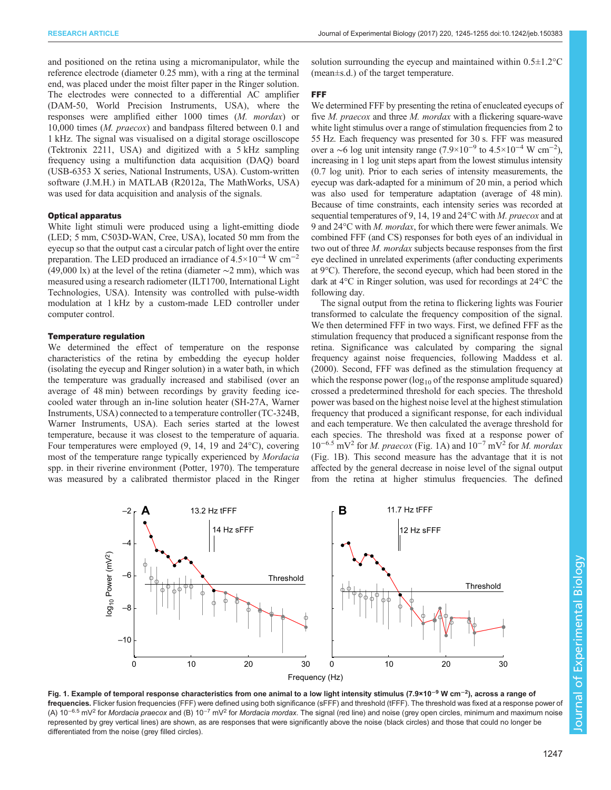<span id="page-2-0"></span>and positioned on the retina using a micromanipulator, while the reference electrode (diameter 0.25 mm), with a ring at the terminal end, was placed under the moist filter paper in the Ringer solution. The electrodes were connected to a differential AC amplifier (DAM-50, World Precision Instruments, USA), where the responses were amplified either 1000 times (M. mordax) or 10,000 times (M. praecox) and bandpass filtered between 0.1 and 1 kHz. The signal was visualised on a digital storage oscilloscope (Tektronix 2211, USA) and digitized with a 5 kHz sampling frequency using a multifunction data acquisition (DAQ) board (USB-6353 X series, National Instruments, USA). Custom-written software (J.M.H.) in MATLAB (R2012a, The MathWorks, USA) was used for data acquisition and analysis of the signals.

### Optical apparatus

White light stimuli were produced using a light-emitting diode (LED; 5 mm, C503D-WAN, Cree, USA), located 50 mm from the eyecup so that the output cast a circular patch of light over the entire preparation. The LED produced an irradiance of  $4.5 \times 10^{-4}$  W cm<sup>-2</sup> (49,000 lx) at the level of the retina (diameter  $\sim$ 2 mm), which was measured using a research radiometer (ILT1700, International Light Technologies, USA). Intensity was controlled with pulse-width modulation at 1 kHz by a custom-made LED controller under computer control.

### Temperature regulation

We determined the effect of temperature on the response characteristics of the retina by embedding the eyecup holder (isolating the eyecup and Ringer solution) in a water bath, in which the temperature was gradually increased and stabilised (over an average of 48 min) between recordings by gravity feeding icecooled water through an in-line solution heater (SH-27A, Warner Instruments, USA) connected to a temperature controller (TC-324B, Warner Instruments, USA). Each series started at the lowest temperature, because it was closest to the temperature of aquaria. Four temperatures were employed (9, 14, 19 and 24°C), covering most of the temperature range typically experienced by Mordacia spp. in their riverine environment [\(Potter, 1970\)](#page-10-0). The temperature was measured by a calibrated thermistor placed in the Ringer solution surrounding the eyecup and maintained within 0.5±1.2°C (mean±s.d.) of the target temperature.

#### FFF

We determined FFF by presenting the retina of enucleated eyecups of five *M. praecox* and three *M. mordax* with a flickering square-wave white light stimulus over a range of stimulation frequencies from 2 to 55 Hz. Each frequency was presented for 30 s. FFF was measured over a ~6 log unit intensity range  $(7.9 \times 10^{-9}$  to  $4.5 \times 10^{-4}$  W cm<sup>-2</sup>), increasing in 1 log unit steps apart from the lowest stimulus intensity (0.7 log unit). Prior to each series of intensity measurements, the eyecup was dark-adapted for a minimum of 20 min, a period which was also used for temperature adaptation (average of 48 min). Because of time constraints, each intensity series was recorded at sequential temperatures of 9, 14, 19 and 24 °C with *M. praecox* and at 9 and 24°C with M. mordax, for which there were fewer animals. We combined FFF (and CS) responses for both eyes of an individual in two out of three M. mordax subjects because responses from the first eye declined in unrelated experiments (after conducting experiments at 9°C). Therefore, the second eyecup, which had been stored in the dark at 4°C in Ringer solution, was used for recordings at 24°C the following day.

The signal output from the retina to flickering lights was Fourier transformed to calculate the frequency composition of the signal. We then determined FFF in two ways. First, we defined FFF as the stimulation frequency that produced a significant response from the retina. Significance was calculated by comparing the signal frequency against noise frequencies, following [Maddess et al.](#page-10-0) [\(2000\)](#page-10-0). Second, FFF was defined as the stimulation frequency at which the response power ( $log_{10}$  of the response amplitude squared) crossed a predetermined threshold for each species. The threshold power was based on the highest noise level at the highest stimulation frequency that produced a significant response, for each individual and each temperature. We then calculated the average threshold for each species. The threshold was fixed at a response power of  $10^{-6.5}$  mV<sup>2</sup> for *M. praecox* (Fig. 1A) and  $10^{-7}$  mV<sup>2</sup> for *M. mordax* (Fig. 1B). This second measure has the advantage that it is not affected by the general decrease in noise level of the signal output from the retina at higher stimulus frequencies. The defined



Fig. 1. Example of temporal response characteristics from one animal to a low light intensity stimulus (7.9×10<sup>–9</sup> W cm<sup>–2</sup>), across a range of frequencies. Flicker fusion frequencies (FFF) were defined using both significance (sFFF) and threshold (tFFF). The threshold was fixed at a response power of (A) 10<sup>-6.5</sup> mV<sup>2</sup> for Mordacia praecox and (B) 10<sup>-7</sup> mV<sup>2</sup> for Mordacia mordax. The signal (red line) and noise (grey open circles, minimum and maximum noise represented by grey vertical lines) are shown, as are responses that were significantly above the noise (black circles) and those that could no longer be differentiated from the noise (grey filled circles).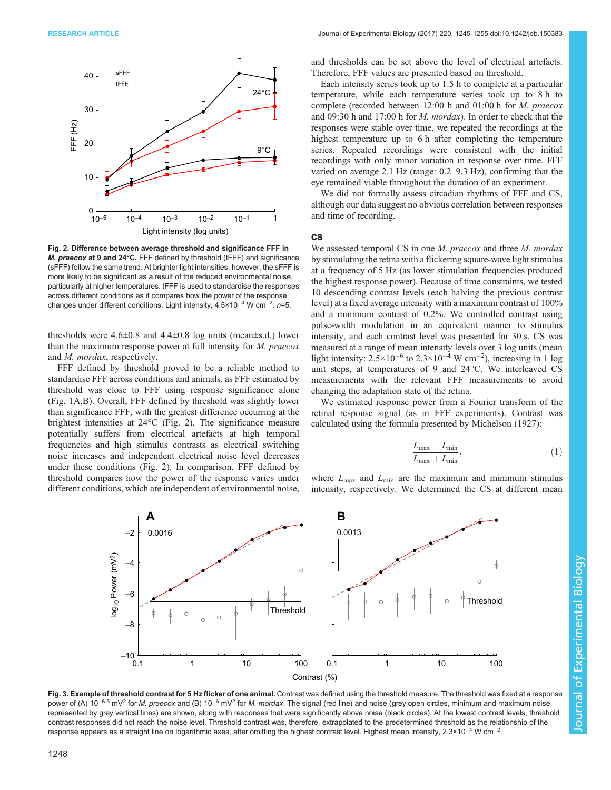<span id="page-3-0"></span>

Fig. 2. Difference between average threshold and significance FFF in M. praecox at 9 and 24°C. FFF defined by threshold (tFFF) and significance (sFFF) follow the same trend. At brighter light intensities, however, the sFFF is more likely to be significant as a result of the reduced environmental noise, particularly at higher temperatures. tFFF is used to standardise the responses across different conditions as it compares how the power of the response changes under different conditions. Light intensity, 4.5×10<sup>-4</sup> W cm<sup>-2</sup>. n=5.

thresholds were  $4.6\pm0.8$  and  $4.4\pm0.8$  log units (mean $\pm$ s.d.) lower than the maximum response power at full intensity for M. praecox and M. mordax, respectively.

FFF defined by threshold proved to be a reliable method to standardise FFF across conditions and animals, as FFF estimated by threshold was close to FFF using response significance alone [\(Fig. 1A](#page-2-0),B). Overall, FFF defined by threshold was slightly lower than significance FFF, with the greatest difference occurring at the brightest intensities at 24°C (Fig. 2). The significance measure potentially suffers from electrical artefacts at high temporal frequencies and high stimulus contrasts as electrical switching noise increases and independent electrical noise level decreases under these conditions (Fig. 2). In comparison, FFF defined by threshold compares how the power of the response varies under different conditions, which are independent of environmental noise, and thresholds can be set above the level of electrical artefacts. Therefore, FFF values are presented based on threshold.

Each intensity series took up to 1.5 h to complete at a particular temperature, while each temperature series took up to 8 h to complete (recorded between 12:00 h and 01:00 h for M. praecox and 09:30 h and 17:00 h for M. mordax). In order to check that the responses were stable over time, we repeated the recordings at the highest temperature up to 6 h after completing the temperature series. Repeated recordings were consistent with the initial recordings with only minor variation in response over time. FFF varied on average 2.1 Hz (range: 0.2–9.3 Hz), confirming that the eye remained viable throughout the duration of an experiment.

We did not formally assess circadian rhythms of FFF and CS, although our data suggest no obvious correlation between responses and time of recording.

#### CS

We assessed temporal CS in one M. praecox and three M. mordax by stimulating the retina with a flickering square-wave light stimulus at a frequency of 5 Hz (as lower stimulation frequencies produced the highest response power). Because of time constraints, we tested 10 descending contrast levels (each halving the previous contrast level) at a fixed average intensity with a maximum contrast of 100% and a minimum contrast of 0.2%. We controlled contrast using pulse-width modulation in an equivalent manner to stimulus intensity, and each contrast level was presented for 30 s. CS was measured at a range of mean intensity levels over 3 log units (mean light intensity:  $2.5 \times 10^{-6}$  to  $2.3 \times 10^{-4}$  W cm<sup>-2</sup>), increasing in 1 log unit steps, at temperatures of 9 and 24°C. We interleaved CS measurements with the relevant FFF measurements to avoid changing the adaptation state of the retina.

We estimated response power from a Fourier transform of the retinal response signal (as in FFF experiments). Contrast was calculated using the formula presented by [Michelson \(1927\):](#page-10-0)

$$
\frac{L_{\max} - L_{\min}}{L_{\max} + L_{\min}},\tag{1}
$$

where  $L_{\text{max}}$  and  $L_{\text{min}}$  are the maximum and minimum stimulus intensity, respectively. We determined the CS at different mean



Fig. 3. Example of threshold contrast for 5 Hz flicker of one animal. Contrast was defined using the threshold measure. The threshold was fixed at a response power of (A) 10<sup>-6.5</sup> mV<sup>2</sup> for M. praecox and (B) 10<sup>-6</sup> mV<sup>2</sup> for M. mordax. The signal (red line) and noise (grey open circles, minimum and maximum noise represented by grey vertical lines) are shown, along with responses that were significantly above noise (black circles). At the lowest contrast levels, threshold contrast responses did not reach the noise level. Threshold contrast was, therefore, extrapolated to the predetermined threshold as the relationship of the response appears as a straight line on logarithmic axes, after omitting the highest contrast level. Highest mean intensity, 2.3×10−<sup>4</sup> W cm−<sup>2</sup> .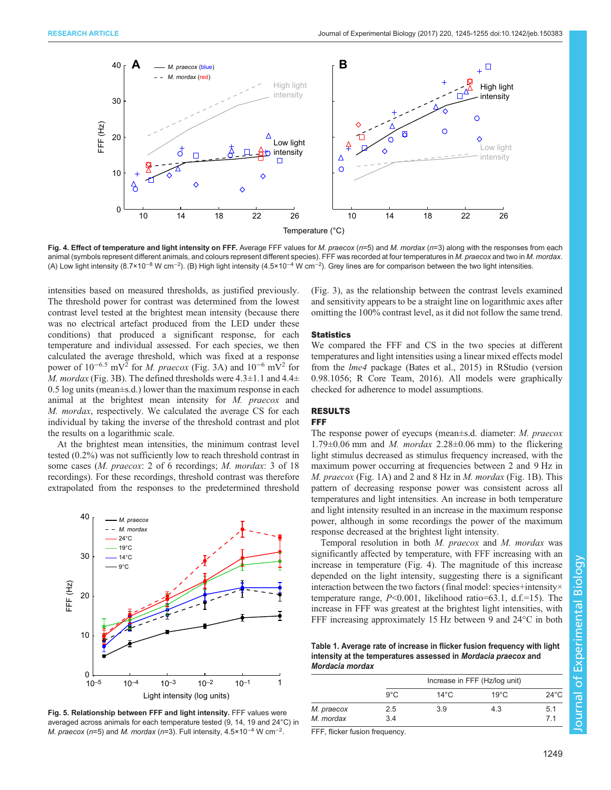<span id="page-4-0"></span>

Fig. 4. Effect of temperature and light intensity on FFF. Average FFF values for M. praecox ( $n=5$ ) and M. mordax ( $n=3$ ) along with the responses from each animal (symbols represent different animals, and colours represent different species). FFF was recorded at four temperatures in M. praecox and two in M. mordax. (A) Low light intensity (8.7×10<sup>-8</sup> W cm<sup>-2</sup>). (B) High light intensity (4.5×10<sup>-4</sup> W cm<sup>-2</sup>). Grey lines are for comparison between the two light intensities.

intensities based on measured thresholds, as justified previously. The threshold power for contrast was determined from the lowest contrast level tested at the brightest mean intensity (because there was no electrical artefact produced from the LED under these conditions) that produced a significant response, for each temperature and individual assessed. For each species, we then calculated the average threshold, which was fixed at a response power of  $10^{-6.5}$  mV<sup>2</sup> for *M. praecox* [\(Fig. 3A](#page-3-0)) and  $10^{-6}$  mV<sup>2</sup> for M. mordax ([Fig. 3B](#page-3-0)). The defined thresholds were  $4.3 \pm 1.1$  and  $4.4 \pm$ 0.5 log units (mean±s.d.) lower than the maximum response in each animal at the brightest mean intensity for M. praecox and M. mordax, respectively. We calculated the average CS for each individual by taking the inverse of the threshold contrast and plot the results on a logarithmic scale.

At the brightest mean intensities, the minimum contrast level tested (0.2%) was not sufficiently low to reach threshold contrast in some cases (*M. praecox:* 2 of 6 recordings; *M. mordax:* 3 of 18 recordings). For these recordings, threshold contrast was therefore extrapolated from the responses to the predetermined threshold



Fig. 5. Relationship between FFF and light intensity. FFF values were averaged across animals for each temperature tested (9, 14, 19 and 24°C) in M. praecox (n=5) and M. mordax (n=3). Full intensity,  $4.5 \times 10^{-4}$  W cm<sup>-2</sup>.

[\(Fig. 3](#page-3-0)), as the relationship between the contrast levels examined and sensitivity appears to be a straight line on logarithmic axes after omitting the 100% contrast level, as it did not follow the same trend.

### **Statistics**

We compared the FFF and CS in the two species at different temperatures and light intensities using a linear mixed effects model from the lme4 package ([Bates et al., 2015\)](#page-9-0) in RStudio (version 0.98.1056; [R Core Team, 2016](#page-10-0)). All models were graphically checked for adherence to model assumptions.

# RESULTS

## FFF

The response power of eyecups (mean±s.d. diameter: *M. praecox* 1.79 $\pm$ 0.06 mm and *M. mordax* 2.28 $\pm$ 0.06 mm) to the flickering light stimulus decreased as stimulus frequency increased, with the maximum power occurring at frequencies between 2 and 9 Hz in M. praecox [\(Fig. 1](#page-2-0)A) and 2 and 8 Hz in M. mordax ([Fig. 1](#page-2-0)B). This pattern of decreasing response power was consistent across all temperatures and light intensities. An increase in both temperature and light intensity resulted in an increase in the maximum response power, although in some recordings the power of the maximum response decreased at the brightest light intensity.

Temporal resolution in both M. praecox and M. mordax was significantly affected by temperature, with FFF increasing with an increase in temperature (Fig. 4). The magnitude of this increase depended on the light intensity, suggesting there is a significant interaction between the two factors (final model: species+intensity× temperature range, P<0.001, likelihood ratio=63.1, d.f.=15). The increase in FFF was greatest at the brightest light intensities, with FFF increasing approximately 15 Hz between 9 and 24°C in both

Table 1. Average rate of increase in flicker fusion frequency with light intensity at the temperatures assessed in Mordacia praecox and Mordacia mordax

|            | Increase in FFF (Hz/log unit) |                |                |                |  |
|------------|-------------------------------|----------------|----------------|----------------|--|
|            | $9^{\circ}$ C                 | $14^{\circ}$ C | $19^{\circ}$ C | $24^{\circ}$ C |  |
| M. praecox | $2.5\,$                       | 3.9            | 4.3            | 5.1            |  |
| M. mordax  | 3.4                           |                |                | 71             |  |

FFF, flicker fusion frequency.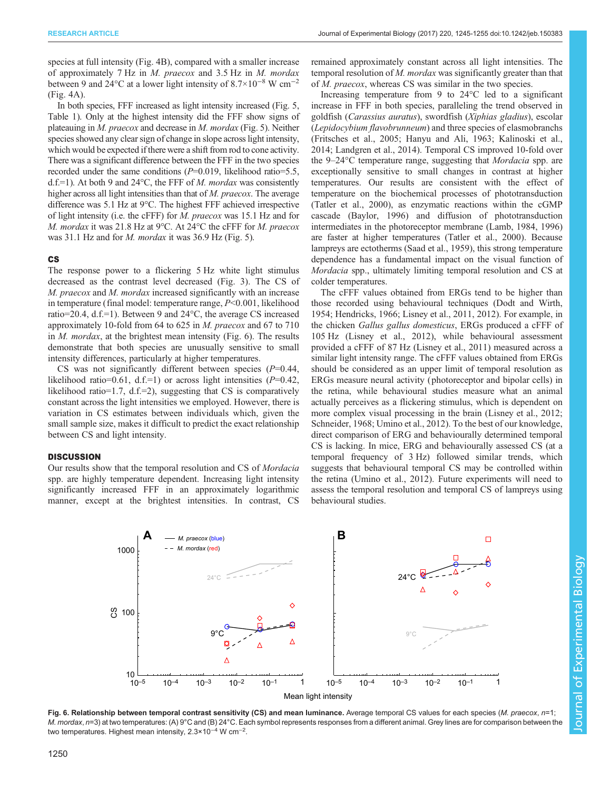species at full intensity [\(Fig. 4](#page-4-0)B), compared with a smaller increase of approximately 7 Hz in M. praecox and 3.5 Hz in M. mordax between 9 and 24 $\rm{°C}$  at a lower light intensity of 8.7×10<sup>-8</sup> W cm<sup>-2</sup> [\(Fig. 4](#page-4-0)A).

In both species, FFF increased as light intensity increased [\(Fig. 5,](#page-4-0) [Table 1](#page-4-0)). Only at the highest intensity did the FFF show signs of plateauing in M. praecox and decrease in M. mordax [\(Fig. 5](#page-4-0)). Neither species showed any clear sign of change in slope across light intensity, which would be expected if there were a shift from rod to cone activity. There was a significant difference between the FFF in the two species recorded under the same conditions  $(P=0.019$ , likelihood ratio=5.5, d.f.=1). At both 9 and 24 $\degree$ C, the FFF of *M. mordax* was consistently higher across all light intensities than that of M. praecox. The average difference was 5.1 Hz at 9°C. The highest FFF achieved irrespective of light intensity (i.e. the cFFF) for M. praecox was 15.1 Hz and for M. mordax it was 21.8 Hz at 9°C. At 24°C the cFFF for M. praecox was 31.1 Hz and for M. mordax it was 36.9 Hz [\(Fig. 5](#page-4-0)).

### CS

The response power to a flickering 5 Hz white light stimulus decreased as the contrast level decreased ([Fig. 3\)](#page-3-0). The CS of M. praecox and M. mordax increased significantly with an increase in temperature (final model: temperature range, P<0.001, likelihood ratio=20.4, d.f.=1). Between 9 and 24°C, the average CS increased approximately 10-fold from 64 to 625 in M. praecox and 67 to 710 in M. mordax, at the brightest mean intensity (Fig. 6). The results demonstrate that both species are unusually sensitive to small intensity differences, particularly at higher temperatures.

CS was not significantly different between species  $(P=0.44,$ likelihood ratio=0.61, d.f.=1) or across light intensities  $(P=0.42,$ likelihood ratio=1.7, d.f.=2), suggesting that CS is comparatively constant across the light intensities we employed. However, there is variation in CS estimates between individuals which, given the small sample size, makes it difficult to predict the exact relationship between CS and light intensity.

### **DISCUSSION**

Our results show that the temporal resolution and CS of Mordacia spp. are highly temperature dependent. Increasing light intensity significantly increased FFF in an approximately logarithmic manner, except at the brightest intensities. In contrast, CS remained approximately constant across all light intensities. The temporal resolution of M. mordax was significantly greater than that of M. praecox, whereas CS was similar in the two species.

Increasing temperature from 9 to 24°C led to a significant increase in FFF in both species, paralleling the trend observed in goldfish (Carassius auratus), swordfish (Xiphias gladius), escolar (Lepidocybium flavobrunneum) and three species of elasmobranchs [\(Fritsches et al., 2005; Hanyu and Ali, 1963;](#page-9-0) [Kalinoski et al.,](#page-10-0) [2014; Landgren et al., 2014\)](#page-10-0). Temporal CS improved 10-fold over the 9–24°C temperature range, suggesting that Mordacia spp. are exceptionally sensitive to small changes in contrast at higher temperatures. Our results are consistent with the effect of temperature on the biochemical processes of phototransduction [\(Tatler et al., 2000\)](#page-10-0), as enzymatic reactions within the cGMP cascade [\(Baylor, 1996\)](#page-9-0) and diffusion of phototransduction intermediates in the photoreceptor membrane [\(Lamb, 1984, 1996\)](#page-10-0) are faster at higher temperatures [\(Tatler et al., 2000](#page-10-0)). Because lampreys are ectotherms [\(Saad et al., 1959\)](#page-10-0), this strong temperature dependence has a fundamental impact on the visual function of Mordacia spp., ultimately limiting temporal resolution and CS at colder temperatures.

The cFFF values obtained from ERGs tend to be higher than those recorded using behavioural techniques [\(Dodt and Wirth,](#page-9-0) [1954; Hendricks, 1966;](#page-9-0) [Lisney et al., 2011](#page-10-0), [2012](#page-10-0)). For example, in the chicken Gallus gallus domesticus, ERGs produced a cFFF of 105 Hz [\(Lisney et al., 2012\)](#page-10-0), while behavioural assessment provided a cFFF of 87 Hz [\(Lisney et al., 2011\)](#page-10-0) measured across a similar light intensity range. The cFFF values obtained from ERGs should be considered as an upper limit of temporal resolution as ERGs measure neural activity ( photoreceptor and bipolar cells) in the retina, while behavioural studies measure what an animal actually perceives as a flickering stimulus, which is dependent on more complex visual processing in the brain [\(Lisney et al., 2012](#page-10-0); [Schneider, 1968; Umino et al., 2012\)](#page-10-0). To the best of our knowledge, direct comparison of ERG and behaviourally determined temporal CS is lacking. In mice, ERG and behaviourally assessed CS (at a temporal frequency of 3 Hz) followed similar trends, which suggests that behavioural temporal CS may be controlled within the retina [\(Umino et al., 2012\)](#page-10-0). Future experiments will need to assess the temporal resolution and temporal CS of lampreys using behavioural studies.



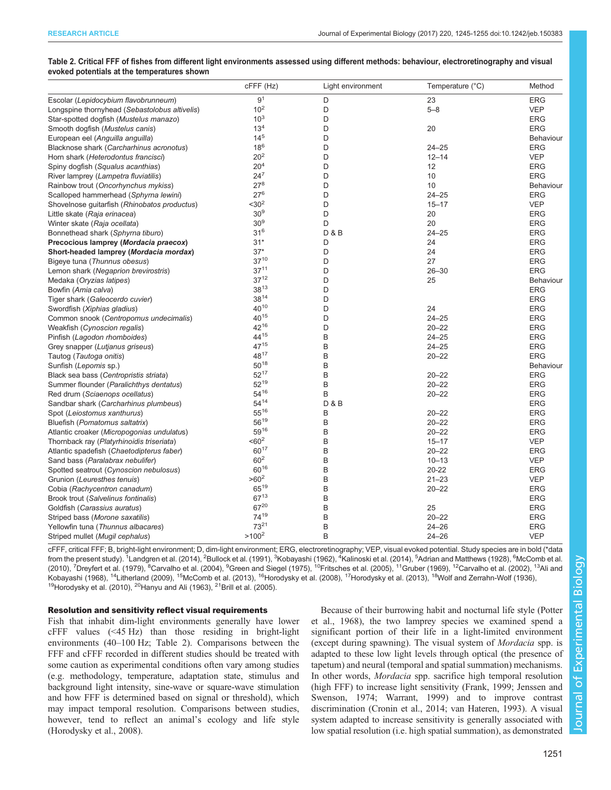### Table 2. Critical FFF of fishes from different light environments assessed using different methods: behaviour, electroretinography and visual evoked potentials at the temperatures shown

|                                               | cFFF (Hz)           | Light environment | Temperature (°C) | Method           |
|-----------------------------------------------|---------------------|-------------------|------------------|------------------|
| Escolar (Lepidocybium flavobrunneum)          | 9 <sup>1</sup>      | D                 | 23               | <b>ERG</b>       |
| Longspine thornyhead (Sebastolobus altivelis) | 10 <sup>2</sup>     | D                 | $5 - 8$          | <b>VEP</b>       |
| Star-spotted dogfish (Mustelus manazo)        | $10^{3}$            | D                 |                  | <b>ERG</b>       |
| Smooth dogfish (Mustelus canis)               | 13 <sup>4</sup>     | D                 | 20               | <b>ERG</b>       |
| European eel (Anguilla anguilla)              | $14^{5}$            | D                 |                  | Behaviour        |
| Blacknose shark (Carcharhinus acronotus)      | $18^{6}$            | D                 | $24 - 25$        | <b>ERG</b>       |
| Horn shark (Heterodontus francisci)           | 20 <sup>2</sup>     | D                 | $12 - 14$        | <b>VEP</b>       |
| Spiny dogfish (Squalus acanthias)             | 20 <sup>4</sup>     | D                 | 12               | <b>ERG</b>       |
| River lamprey (Lampetra fluviatilis)          | $24^{7}$            | D                 | 10               | <b>ERG</b>       |
| Rainbow trout (Oncorhynchus mykiss)           | $27^{8}$            | D                 | 10               | Behaviour        |
| Scalloped hammerhead (Sphyrna lewini)         | $27^{6}$            | D                 | $24 - 25$        | <b>ERG</b>       |
| Shovelnose guitarfish (Rhinobatos productus)  | $<$ 30 <sup>2</sup> | D                 | $15 - 17$        | <b>VEP</b>       |
| Little skate (Raja erinacea)                  | 30 <sup>9</sup>     | D                 | 20               | <b>ERG</b>       |
| Winter skate (Raja ocellata)                  | 30 <sup>9</sup>     | D                 | 20               | <b>ERG</b>       |
| Bonnethead shark (Sphyrna tiburo)             | $31^{6}$            | <b>D&amp;B</b>    | $24 - 25$        | <b>ERG</b>       |
| Precocious lamprey (Mordacia praecox)         | $31*$               | D                 | 24               | <b>ERG</b>       |
| Short-headed lamprey (Mordacia mordax)        | $37*$               | D                 | 24               | <b>ERG</b>       |
| Bigeye tuna (Thunnus obesus)                  | $37^{10}$           | D                 | 27               | <b>ERG</b>       |
| Lemon shark (Negaprion brevirostris)          | $37^{11}$           | D                 | $26 - 30$        | <b>ERG</b>       |
| Medaka (Oryzias latipes)                      | $37^{12}$           | D                 | 25               | Behaviour        |
| Bowfin (Amia calva)                           | $38^{13}$           | D                 |                  | <b>ERG</b>       |
| Tiger shark (Galeocerdo cuvier)               | 3814                | D                 |                  | <b>ERG</b>       |
| Swordfish (Xiphias gladius)                   | $40^{10}$           | D                 | 24               | <b>ERG</b>       |
| Common snook (Centropomus undecimalis)        | $40^{15}$           | D                 | $24 - 25$        | <b>ERG</b>       |
| Weakfish (Cynoscion regalis)                  | 4216                | D                 | $20 - 22$        | <b>ERG</b>       |
| Pinfish (Lagodon rhomboides)                  | 4415                | B                 | $24 - 25$        | <b>ERG</b>       |
| Grey snapper (Lutjanus griseus)               | $47^{15}$           | B                 | $24 - 25$        | <b>ERG</b>       |
| Tautog (Tautoga onitis)                       | 4817                | B                 | $20 - 22$        | <b>ERG</b>       |
| Sunfish (Lepomis sp.)                         | $50^{18}$           | B                 |                  | <b>Behaviour</b> |
| Black sea bass (Centropristis striata)        | $52^{17}$           | B                 | $20 - 22$        | <b>ERG</b>       |
| Summer flounder (Paralichthys dentatus)       | 5219                | B                 | $20 - 22$        | <b>ERG</b>       |
| Red drum (Sciaenops ocellatus)                | 5416                | B                 | $20 - 22$        | <b>ERG</b>       |
| Sandbar shark (Carcharhinus plumbeus)         | $54^{14}$           | <b>D&amp;B</b>    |                  | <b>ERG</b>       |
| Spot (Leiostomus xanthurus)                   | 5516                | B                 | $20 - 22$        | <b>ERG</b>       |
| Bluefish (Pomatomus saltatrix)                | 5619                | B                 | $20 - 22$        | <b>ERG</b>       |
| Atlantic croaker (Micropogonias undulatus)    | 5916                | B                 | $20 - 22$        | <b>ERG</b>       |
| Thornback ray (Platyrhinoidis triseriata)     | $<60^2$             | B                 | $15 - 17$        | <b>VEP</b>       |
| Atlantic spadefish (Chaetodipterus faber)     | 6017                | B                 | $20 - 22$        | <b>ERG</b>       |
| Sand bass (Paralabrax nebulifer)              | $60^{2}$            | B                 | $10 - 13$        | <b>VEP</b>       |
| Spotted seatrout (Cynoscion nebulosus)        | 6016                | B                 | $20 - 22$        | <b>ERG</b>       |
| Grunion (Leuresthes tenuis)                   | $>60^2$             | B                 | $21 - 23$        | <b>VEP</b>       |
| Cobia (Rachycentron canadum)                  | $65^{19}$           | B                 | $20 - 22$        | <b>ERG</b>       |
| Brook trout (Salvelinus fontinalis)           | 6713                | B                 |                  | <b>ERG</b>       |
| Goldfish (Carassius auratus)                  | 6720                | B                 | 25               | <b>ERG</b>       |
| Striped bass (Morone saxatilis)               | 7419                | B                 | $20 - 22$        | <b>ERG</b>       |
| Yellowfin tuna (Thunnus albacares)            | 7321                | B                 | $24 - 26$        | <b>ERG</b>       |
| Striped mullet (Mugil cephalus)               | $>100^2$            | B                 | $24 - 26$        | <b>VEP</b>       |
|                                               |                     |                   |                  |                  |

cFFF, critical FFF; B, bright-light environment; D, dim-light environment; ERG, electroretinography; VEP, visual evoked potential. Study species are in bold (\*data from the present study). <sup>1</sup>[Landgren et al. \(2014\)](#page-10-0), <sup>2</sup>[Bullock et al. \(1991\)](#page-9-0), <sup>3</sup>[Kobayashi \(1962\),](#page-10-0) <sup>4</sup>[Kalinoski et al. \(2014\)](#page-10-0), <sup>5</sup>[Adrian and Matthews \(1928\),](#page-9-0) <sup>6</sup>[McComb et al.](#page-10-0) [\(2010\)](#page-10-0), <sup>7</sup>[Dreyfert et al. \(1979\)](#page-9-0), <sup>8</sup>[Carvalho et al. \(2004\),](#page-9-0) <sup>9</sup>[Green and Siegel \(1975\),](#page-9-0) <sup>10</sup>Fritsches et al. (2005), <sup>11</sup>Gruber (1969), <sup>12</sup>[Carvalho et al. \(2002\)](#page-9-0), <sup>13</sup>Ali and [Kobayashi \(1968\)](#page-9-0), <sup>14</sup>[Litherland \(2009\),](#page-10-0) <sup>15</sup>McComb et al. (2013), <sup>16</sup>[Horodysky et al. \(2008\)](#page-9-0), <sup>17</sup>[Horodysky et al. \(2013\)](#page-9-0), <sup>18</sup>[Wolf and Zerrahn-Wolf \(1936\)](#page-10-0), <sup>19</sup>Horodysky et al. (2010), <sup>20</sup>Hanyu and Ali (1963), <sup>21</sup>[Brill et al. \(2005\).](#page-9-0)

### Resolution and sensitivity reflect visual requirements

Fish that inhabit dim-light environments generally have lower  $c$ FFF values  $(\leq 45 \text{ Hz})$  than those residing in bright-light environments (40–100 Hz; Table 2). Comparisons between the FFF and cFFF recorded in different studies should be treated with some caution as experimental conditions often vary among studies (e.g. methodology, temperature, adaptation state, stimulus and background light intensity, sine-wave or square-wave stimulation and how FFF is determined based on signal or threshold), which may impact temporal resolution. Comparisons between studies, however, tend to reflect an animal's ecology and life style [\(Horodysky et al., 2008\)](#page-9-0).

Because of their burrowing habit and nocturnal life style ([Potter](#page-10-0) [et al., 1968\)](#page-10-0), the two lamprey species we examined spend a significant portion of their life in a light-limited environment (except during spawning). The visual system of Mordacia spp. is adapted to these low light levels through optical (the presence of tapetum) and neural (temporal and spatial summation) mechanisms. In other words, Mordacia spp. sacrifice high temporal resolution (high FFF) to increase light sensitivity [\(Frank, 1999; Jenssen and](#page-9-0) [Swenson, 1974;](#page-9-0) [Warrant, 1999](#page-10-0)) and to improve contrast discrimination ([Cronin et al., 2014;](#page-9-0) [van Hateren, 1993](#page-10-0)). A visual system adapted to increase sensitivity is generally associated with low spatial resolution (i.e. high spatial summation), as demonstrated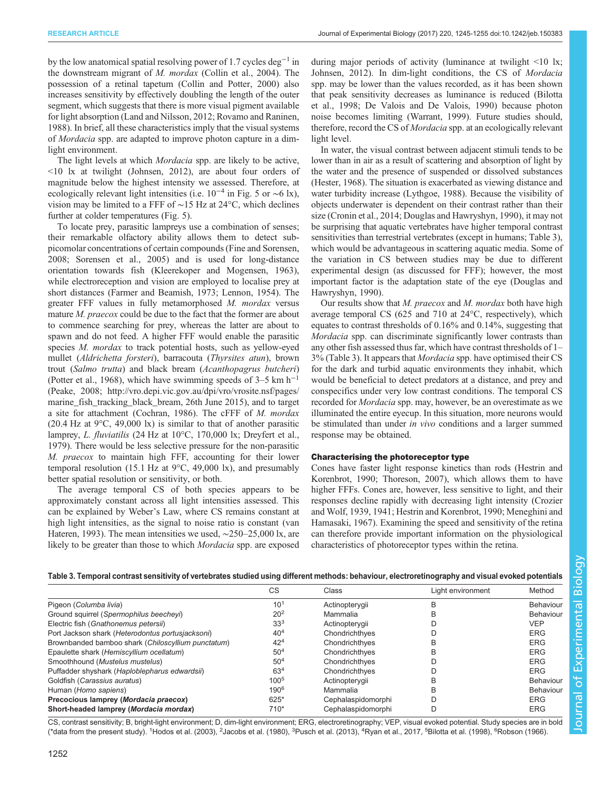by the low anatomical spatial resolving power of 1.7 cycles deg−<sup>1</sup> in the downstream migrant of M. mordax [\(Collin et al., 2004](#page-9-0)). The possession of a retinal tapetum ([Collin and Potter, 2000\)](#page-9-0) also increases sensitivity by effectively doubling the length of the outer segment, which suggests that there is more visual pigment available for light absorption [\(Land and Nilsson, 2012; Rovamo and Raninen,](#page-10-0) [1988](#page-10-0)). In brief, all these characteristics imply that the visual systems of Mordacia spp. are adapted to improve photon capture in a dimlight environment.

The light levels at which *Mordacia* spp. are likely to be active, <10 lx at twilight [\(Johnsen, 2012\)](#page-9-0), are about four orders of magnitude below the highest intensity we assessed. Therefore, at ecologically relevant light intensities (i.e.  $10^{-4}$  in [Fig. 5](#page-4-0) or ~6 lx), vision may be limited to a FFF of ∼15 Hz at 24°C, which declines further at colder temperatures ([Fig. 5](#page-4-0)).

To locate prey, parasitic lampreys use a combination of senses; their remarkable olfactory ability allows them to detect subpicomolar concentrations of certain compounds [\(Fine and Sorensen,](#page-9-0) [2008](#page-9-0); [Sorensen et al., 2005\)](#page-10-0) and is used for long-distance orientation towards fish ([Kleerekoper and Mogensen, 1963\)](#page-10-0), while electroreception and vision are employed to localise prey at short distances [\(Farmer and Beamish, 1973](#page-9-0); [Lennon, 1954](#page-10-0)). The greater FFF values in fully metamorphosed M. mordax versus mature *M. praecox* could be due to the fact that the former are about to commence searching for prey, whereas the latter are about to spawn and do not feed. A higher FFF would enable the parasitic species *M. mordax* to track potential hosts, such as yellow-eyed mullet (Aldrichetta forsteri), barracouta (Thyrsites atun), brown trout (Salmo trutta) and black bream (Acanthopagrus butcheri) [\(Potter et al., 1968](#page-10-0)), which have swimming speeds of  $3-5$  km h<sup>-1</sup> [\(Peake, 2008;](#page-10-0) [http://vro.depi.vic.gov.au/dpi/vro/vrosite.nsf/pages/](http://vro.depi.vic.gov.au/dpi/vro/vrosite.nsf/pages/marine_fish_tracking_black_bream) [marine\\_fish\\_tracking\\_black\\_bream](http://vro.depi.vic.gov.au/dpi/vro/vrosite.nsf/pages/marine_fish_tracking_black_bream), 26th June 2015), and to target a site for attachment [\(Cochran, 1986](#page-9-0)). The cFFF of M. mordax  $(20.4 \text{ Hz at } 9^{\circ}\text{C}, 49,000 \text{ lx})$  is similar to that of another parasitic lamprey, L. fluviatilis (24 Hz at 10°C, 170,000 lx; [Dreyfert et al.,](#page-9-0) [1979](#page-9-0)). There would be less selective pressure for the non-parasitic M. praecox to maintain high FFF, accounting for their lower temporal resolution (15.1 Hz at  $9^{\circ}$ C, 49,000 lx), and presumably better spatial resolution or sensitivity, or both.

The average temporal CS of both species appears to be approximately constant across all light intensities assessed. This can be explained by Weber's Law, where CS remains constant at high light intensities, as the signal to noise ratio is constant [\(van](#page-10-0) [Hateren, 1993\)](#page-10-0). The mean intensities we used, ∼250–25,000 lx, are likely to be greater than those to which Mordacia spp. are exposed during major periods of activity (luminance at twilight <10 lx; [Johnsen, 2012](#page-9-0)). In dim-light conditions, the CS of Mordacia spp. may be lower than the values recorded, as it has been shown that peak sensitivity decreases as luminance is reduced [\(Bilotta](#page-9-0) [et al., 1998; De Valois and De Valois, 1990](#page-9-0)) because photon noise becomes limiting [\(Warrant, 1999](#page-10-0)). Future studies should, therefore, record the CS of Mordacia spp. at an ecologically relevant light level.

In water, the visual contrast between adjacent stimuli tends to be lower than in air as a result of scattering and absorption of light by the water and the presence of suspended or dissolved substances [\(Hester, 1968\)](#page-9-0). The situation is exacerbated as viewing distance and water turbidity increase [\(Lythgoe, 1988\)](#page-10-0). Because the visibility of objects underwater is dependent on their contrast rather than their size [\(Cronin et al., 2014](#page-9-0); [Douglas and Hawryshyn, 1990\)](#page-9-0), it may not be surprising that aquatic vertebrates have higher temporal contrast sensitivities than terrestrial vertebrates (except in humans; Table 3), which would be advantageous in scattering aquatic media. Some of the variation in CS between studies may be due to different experimental design (as discussed for FFF); however, the most important factor is the adaptation state of the eye ([Douglas and](#page-9-0) [Hawryshyn, 1990](#page-9-0)).

Our results show that M. praecox and M. mordax both have high average temporal CS (625 and 710 at 24°C, respectively), which equates to contrast thresholds of 0.16% and 0.14%, suggesting that Mordacia spp. can discriminate significantly lower contrasts than any other fish assessed thus far, which have contrast thresholds of 1– 3% (Table 3). It appears that Mordacia spp. have optimised their CS for the dark and turbid aquatic environments they inhabit, which would be beneficial to detect predators at a distance, and prey and conspecifics under very low contrast conditions. The temporal CS recorded for Mordacia spp. may, however, be an overestimate as we illuminated the entire eyecup. In this situation, more neurons would be stimulated than under *in vivo* conditions and a larger summed response may be obtained.

### Characterising the photoreceptor type

Cones have faster light response kinetics than rods ([Hestrin and](#page-9-0) [Korenbrot, 1990](#page-9-0); [Thoreson, 2007\)](#page-10-0), which allows them to have higher FFFs. Cones are, however, less sensitive to light, and their responses decline rapidly with decreasing light intensity [\(Crozier](#page-9-0) [and Wolf, 1939, 1941; Hestrin and Korenbrot, 1990](#page-9-0); [Meneghini and](#page-10-0) [Hamasaki, 1967](#page-10-0)). Examining the speed and sensitivity of the retina can therefore provide important information on the physiological characteristics of photoreceptor types within the retina.

| Table 3. Temporal contrast sensitivity of vertebrates studied using different methods: behaviour, electroretinography and visual evoked potentials |                 |                    |                   |            |  |  |
|----------------------------------------------------------------------------------------------------------------------------------------------------|-----------------|--------------------|-------------------|------------|--|--|
|                                                                                                                                                    | CS              | Class              | Light environment | Method     |  |  |
| Pigeon (Columba livia)                                                                                                                             | 10 <sup>1</sup> | Actinopterygii     | R                 | Behaviour  |  |  |
| Ground squirrel (Spermophilus beecheyi)                                                                                                            | 20 <sup>2</sup> | Mammalia           |                   | Behaviour  |  |  |
| Electric fish (Gnathonemus petersii)                                                                                                               | 33 <sup>3</sup> | Actinopterygii     |                   | <b>VEP</b> |  |  |
| Port Jackson shark (Heterodontus portusjacksoni)                                                                                                   | 40 <sup>4</sup> | Chondrichthyes     |                   | <b>ERG</b> |  |  |
| Brownbanded bamboo shark (Chiloscyllium punctatum)                                                                                                 | $42^{4}$        | Chondrichthyes     | R                 | <b>ERG</b> |  |  |
| Epaulette shark (Hemiscyllium ocellatum)                                                                                                           | $50^{4}$        | Chondrichthyes     | R                 | <b>ERG</b> |  |  |
| Smoothhound (Mustelus mustelus)                                                                                                                    | 50 <sup>4</sup> | Chondrichthyes     |                   | <b>ERG</b> |  |  |
| Puffadder shyshark (Haploblepharus edwardsii)                                                                                                      | 63 <sup>4</sup> | Chondrichthyes     |                   | <b>ERG</b> |  |  |
| Goldfish (Carassius auratus)                                                                                                                       | $100^{5}$       | Actinopterygii     | R                 | Behaviour  |  |  |
| Human (Homo sapiens)                                                                                                                               | $190^{6}$       | Mammalia           | R                 | Behaviour  |  |  |
| Precocious lamprey (Mordacia praecox)                                                                                                              | 625*            | Cephalaspidomorphi |                   | <b>ERG</b> |  |  |
| Short-headed lamprey (Mordacia mordax)                                                                                                             | $710*$          | Cephalaspidomorphi |                   | <b>ERG</b> |  |  |

CS, contrast sensitivity; B, bright-light environment; D, dim-light environment; ERG, electroretinography; VEP, visual evoked potential. Study species are in bold (\*data from the present study). <sup>1</sup>[Hodos et al. \(2003\)](#page-9-0), <sup>2</sup>[Jacobs et al. \(1980\),](#page-9-0) <sup>3</sup>[Pusch et al. \(2013\)](#page-10-0), <sup>4</sup>[Ryan et al., 2017,](#page-10-0) <sup>5</sup>[Bilotta et al. \(1998\)](#page-9-0), <sup>6</sup>[Robson \(1966\).](#page-10-0)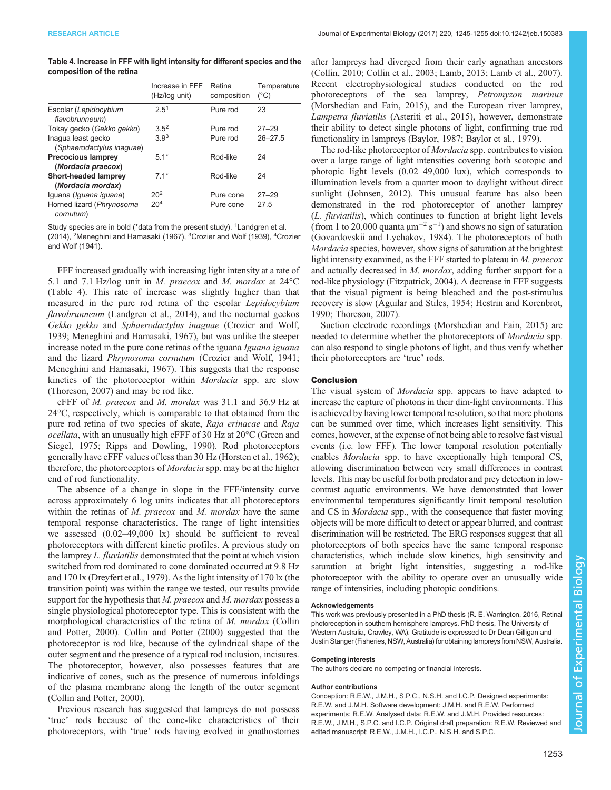| Table 4. Increase in FFF with light intensity for different species and the |  |  |  |  |
|-----------------------------------------------------------------------------|--|--|--|--|
| composition of the retina                                                   |  |  |  |  |

|                                                  | Increase in FFF<br>(Hz/log unit) | Retina<br>composition | Temperature<br>$(^{\circ}C)$ |
|--------------------------------------------------|----------------------------------|-----------------------|------------------------------|
| Escolar (Lepidocybium<br>flavobrunneum)          | 2.5 <sup>1</sup>                 | Pure rod              | 23                           |
| Tokay gecko (Gekko gekko)                        | $3.5^2$                          | Pure rod              | $27 - 29$                    |
| Inaqua least gecko<br>(Sphaerodactylus inaguae)  | 3.9 <sup>3</sup>                 | Pure rod              | $26 - 27.5$                  |
| <b>Precocious lamprey</b>                        | $5.1*$                           | Rod-like              | 24                           |
| (Mordacia praecox)                               |                                  |                       |                              |
| <b>Short-headed lamprey</b><br>(Mordacia mordax) | $7.1*$                           | Rod-like              | 24                           |
| Iguana (Iguana iguana)                           | 20 <sup>2</sup>                  | Pure cone             | $27 - 29$                    |
| Horned lizard (Phrynosoma<br>cornutum)           | 20 <sup>4</sup>                  | Pure cone             | 27.5                         |

Study species are in bold (\*data from the present study). <sup>1</sup> [Landgren et al.](#page-10-0) [\(2014\)](#page-10-0), <sup>2</sup>[Meneghini and Hamasaki \(1967\),](#page-10-0) <sup>3</sup>[Crozier and Wolf \(1939\)](#page-9-0), <sup>4</sup>[Crozier](#page-9-0) [and Wolf \(1941\).](#page-9-0)

FFF increased gradually with increasing light intensity at a rate of 5.1 and 7.1 Hz/log unit in M. praecox and M. mordax at 24°C (Table 4). This rate of increase was slightly higher than that measured in the pure rod retina of the escolar Lepidocybium flavobrunneum [\(Landgren et al., 2014](#page-10-0)), and the nocturnal geckos Gekko gekko and Sphaerodactylus inaguae ([Crozier and Wolf,](#page-9-0) [1939](#page-9-0); [Meneghini and Hamasaki, 1967\)](#page-10-0), but was unlike the steeper increase noted in the pure cone retinas of the iguana Iguana iguana and the lizard Phrynosoma cornutum ([Crozier and Wolf, 1941](#page-9-0); [Meneghini and Hamasaki, 1967\)](#page-10-0). This suggests that the response kinetics of the photoreceptor within Mordacia spp. are slow [\(Thoreson, 2007\)](#page-10-0) and may be rod like.

cFFF of M. praecox and M. mordax was 31.1 and 36.9 Hz at 24°C, respectively, which is comparable to that obtained from the pure rod retina of two species of skate, Raja erinacae and Raja ocellata, with an unusually high cFFF of 30 Hz at 20°C [\(Green and](#page-9-0) [Siegel, 1975](#page-9-0); [Ripps and Dowling, 1990](#page-10-0)). Rod photoreceptors generally have cFFF values of less than 30 Hz [\(Horsten et al., 1962](#page-9-0)); therefore, the photoreceptors of Mordacia spp. may be at the higher end of rod functionality.

The absence of a change in slope in the FFF/intensity curve across approximately 6 log units indicates that all photoreceptors within the retinas of  $M.$  praecox and  $M.$  mordax have the same temporal response characteristics. The range of light intensities we assessed (0.02–49,000 lx) should be sufficient to reveal photoreceptors with different kinetic profiles. A previous study on the lamprey L. fluviatilis demonstrated that the point at which vision switched from rod dominated to cone dominated occurred at 9.8 Hz and 170 lx ([Dreyfert et al., 1979](#page-9-0)). As the light intensity of 170 lx (the transition point) was within the range we tested, our results provide support for the hypothesis that M. praecox and M. mordax possess a single physiological photoreceptor type. This is consistent with the morphological characteristics of the retina of M. mordax ([Collin](#page-9-0) [and Potter, 2000\)](#page-9-0). [Collin and Potter \(2000\)](#page-9-0) suggested that the photoreceptor is rod like, because of the cylindrical shape of the outer segment and the presence of a typical rod inclusion, incisures. The photoreceptor, however, also possesses features that are indicative of cones, such as the presence of numerous infoldings of the plasma membrane along the length of the outer segment [\(Collin and Potter, 2000\)](#page-9-0).

Previous research has suggested that lampreys do not possess 'true' rods because of the cone-like characteristics of their photoreceptors, with 'true' rods having evolved in gnathostomes after lampreys had diverged from their early agnathan ancestors [\(Collin, 2010](#page-9-0); [Collin et al., 2003;](#page-9-0) [Lamb, 2013; Lamb et al., 2007\)](#page-10-0). Recent electrophysiological studies conducted on the rod photoreceptors of the sea lamprey, Petromyzon marinus [\(Morshedian and Fain, 2015](#page-10-0)), and the European river lamprey, Lampetra fluviatilis [\(Asteriti et al., 2015](#page-9-0)), however, demonstrate their ability to detect single photons of light, confirming true rod functionality in lampreys [\(Baylor, 1987; Baylor et al., 1979\)](#page-9-0).

The rod-like photoreceptor of Mordacia spp. contributes to vision over a large range of light intensities covering both scotopic and photopic light levels (0.02–49,000 lux), which corresponds to illumination levels from a quarter moon to daylight without direct sunlight [\(Johnsen, 2012\)](#page-9-0). This unusual feature has also been demonstrated in the rod photoreceptor of another lamprey (L. fluviatilis), which continues to function at bright light levels (from 1 to 20,000 quanta  $\mu$ m<sup>-2</sup> s<sup>-1</sup>) and shows no sign of saturation [\(Govardovskii and Lychakov, 1984](#page-9-0)). The photoreceptors of both Mordacia species, however, show signs of saturation at the brightest light intensity examined, as the FFF started to plateau in M. praecox and actually decreased in M. mordax, adding further support for a rod-like physiology [\(Fitzpatrick, 2004](#page-9-0)). A decrease in FFF suggests that the visual pigment is being bleached and the post-stimulus recovery is slow [\(Aguilar and Stiles, 1954; Hestrin and Korenbrot,](#page-9-0) [1990;](#page-9-0) [Thoreson, 2007\)](#page-10-0).

Suction electrode recordings [\(Morshedian and Fain, 2015](#page-10-0)) are needed to determine whether the photoreceptors of Mordacia spp. can also respond to single photons of light, and thus verify whether their photoreceptors are 'true' rods.

### Conclusion

The visual system of *Mordacia* spp. appears to have adapted to increase the capture of photons in their dim-light environments. This is achieved by having lower temporal resolution, so that more photons can be summed over time, which increases light sensitivity. This comes, however, at the expense of not being able to resolve fast visual events (i.e. low FFF). The lower temporal resolution potentially enables Mordacia spp. to have exceptionally high temporal CS, allowing discrimination between very small differences in contrast levels. This may be useful for both predator and prey detection in lowcontrast aquatic environments. We have demonstrated that lower environmental temperatures significantly limit temporal resolution and CS in *Mordacia* spp., with the consequence that faster moving objects will be more difficult to detect or appear blurred, and contrast discrimination will be restricted. The ERG responses suggest that all photoreceptors of both species have the same temporal response characteristics, which include slow kinetics, high sensitivity and saturation at bright light intensities, suggesting a rod-like photoreceptor with the ability to operate over an unusually wide range of intensities, including photopic conditions.

#### Acknowledgements

This work was previously presented in a PhD thesis (R. E. Warrington, 2016, Retinal photoreception in southern hemisphere lampreys. PhD thesis, The University of Western Australia, Crawley, WA). Gratitude is expressed to Dr Dean Gilligan and Justin Stanger (Fisheries, NSW, Australia) for obtaining lampreys from NSW, Australia.

### Competing interests

The authors declare no competing or financial interests.

#### Author contributions

Conception: R.E.W., J.M.H., S.P.C., N.S.H. and I.C.P. Designed experiments: R.E.W. and J.M.H. Software development: J.M.H. and R.E.W. Performed experiments: R.E.W. Analysed data: R.E.W. and J.M.H. Provided resources: R.E.W., J.M.H., S.P.C. and I.C.P. Original draft preparation: R.E.W. Reviewed and edited manuscript: R.E.W., J.M.H., I.C.P., N.S.H. and S.P.C.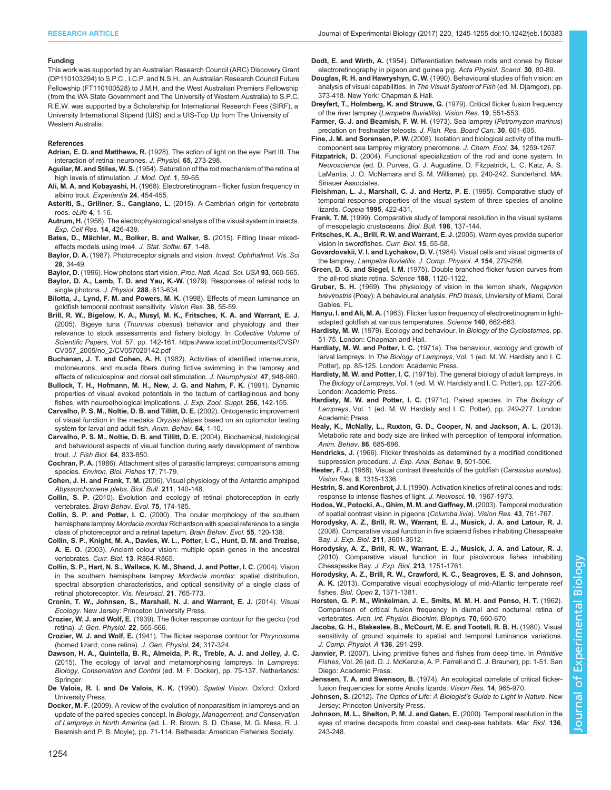#### <span id="page-9-0"></span>Funding

This work was supported by an Australian Research Council (ARC) Discovery Grant (DP110103294) to S.P.C., I.C.P. and N.S.H., an Australian Research Council Future Fellowship (FT110100528) to J.M.H. and the West Australian Premiers Fellowship (from the WA State Government and The University of Western Australia) to S.P.C. R.E.W. was supported by a Scholarship for International Research Fees (SIRF), a University International Stipend (UIS) and a UIS-Top Up from The University of Western Australia.

#### References

Adrian, E. D. and Matthews, R. [\(1928\). The action of light on the eye: Part III. The](http://dx.doi.org/10.1113/jphysiol.1928.sp002475) [interaction of retinal neurones.](http://dx.doi.org/10.1113/jphysiol.1928.sp002475) J. Physiol. 65, 273-298.

- Aguilar, M. and Stiles, W. S. [\(1954\). Saturation of the rod mechanism of the retina at](http://dx.doi.org/10.1080/713818657) [high levels of stimulation.](http://dx.doi.org/10.1080/713818657) J. Mod. Opt. 1, 59-65.
- Ali, M. A. and Kobayashi, H. [\(1968\). Electroretinogram flicker fusion frequency in](http://dx.doi.org/10.1007/BF02144387) [albino trout.](http://dx.doi.org/10.1007/BF02144387) Experientia 24, 454-455.
- Asteriti, S., Grillner, S., Cangiano, L. [\(2015\). A Cambrian origin for vertebrate](http://dx.doi.org/10.7554/eLife.07166) rods. eLife 4[, 1-16.](http://dx.doi.org/10.7554/eLife.07166)
- Autrum, H. [\(1958\). The electrophysiological analysis of the visual system in insects.](http://dx.doi.org/10.1016/0003-3472(58)90028-9) [Exp. Cell Res.](http://dx.doi.org/10.1016/0003-3472(58)90028-9) 14, 426-439.
- Bates, D., Mä[chler, M., Bolker, B. and Walker, S.](http://dx.doi.org/10.18637/jss.v067.i01) (2015). Fitting linear mixed[effects models using lme4.](http://dx.doi.org/10.18637/jss.v067.i01) J. Stat. Softw. 67, 1-48.
- Baylor, D. A. (1987). Photoreceptor signals and vision. Invest. Ophthalmol. Vis. Sci 28, 34-49.

Baylor, D. [\(1996\). How photons start vision.](http://dx.doi.org/10.1073/pnas.93.2.560) Proc. Natl. Acad. Sci. USA 93, 560-565. Baylor, D. A., Lamb, T. D. and Yau, K.-W. (1979). Responses of retinal rods to

- single photons. J. Physiol. 288, 613-634. [Bilotta, J., Lynd, F. M. and Powers, M. K.](http://dx.doi.org/10.1016/S0042-6989(97)00162-4) (1998). Effects of mean luminance on
- [goldfish temporal contrast sensitivity.](http://dx.doi.org/10.1016/S0042-6989(97)00162-4) Vision Res. 38, 55-59.
- Brill, R. W., Bigelow, K. A., Musyl, M. K., Fritsches, K. A. and Warrant, E. J. (2005). Bigeye tuna (Thunnus obesus) behavior and physiology and their relevance to stock assessments and fishery biology. In Collective Volume of Scientific Papers, Vol. 57, pp. 142-161. [https://www.iccat.int/Documents/CVSP/](https://www.iccat.int/Documents/CVSP/CV057_2005/no_2/CV057020142.pdf) [CV057\\_2005/no\\_2/CV057020142.pdf](https://www.iccat.int/Documents/CVSP/CV057_2005/no_2/CV057020142.pdf)
- Buchanan, J. T. and Cohen, A. H. (1982). Activities of identified interneurons, motoneurons, and muscle fibers during fictive swimming in the lamprey and effects of reticulospinal and dorsal cell stimulation. J. Neurophysiol. 47, 948-960.
- [Bullock, T. H., Hofmann, M. H., New, J. G. and Nahm, F. K.](http://dx.doi.org/10.1002/jez.1402560519) (1991). Dynamic [properties of visual evoked potentials in the tectum of cartilaginous and bony](http://dx.doi.org/10.1002/jez.1402560519) [fishes, with neuroethological implications.](http://dx.doi.org/10.1002/jez.1402560519) J. Exp. Zool. Suppl. 256, 142-155.
- [Carvalho, P. S. M., Noltie, D. B. and Tillitt, D. E.](http://dx.doi.org/10.1006/anbe.2002.3028) (2002). Ontogenetic improvement [of visual function in the medaka](http://dx.doi.org/10.1006/anbe.2002.3028) Oryzias latipes based on an optomotor testing [system for larval and adult fish.](http://dx.doi.org/10.1006/anbe.2002.3028) Anim. Behav. 64, 1-10.
- [Carvalho, P. S. M., Noltie, D. B. and Tillitt, D. E.](http://dx.doi.org/10.1111/j.1095-8649.2004.0350.x) (2004). Biochemical, histological [and behavioural aspects of visual function during early development of rainbow](http://dx.doi.org/10.1111/j.1095-8649.2004.0350.x) trout. [J. Fish Biol.](http://dx.doi.org/10.1111/j.1095-8649.2004.0350.x) 64, 833-850.
- Cochran, P. A. [\(1986\). Attachment sites of parasitic lampreys: comparisons among](http://dx.doi.org/10.1007/BF00000403) species. [Environ. Biol. Fishes](http://dx.doi.org/10.1007/BF00000403) 17, 71-79.
- Cohen, J. H. and Frank, T. M. [\(2006\). Visual physiology of the Antarctic amphipod](http://dx.doi.org/10.2307/4134588) [Abyssorchomene plebs](http://dx.doi.org/10.2307/4134588). Biol. Bull. 211, 140-148.
- Collin, S. P. [\(2010\). Evolution and ecology of retinal photoreception in early](http://dx.doi.org/10.1159/000314904) vertebrates. [Brain Behav. Evol.](http://dx.doi.org/10.1159/000314904) 75, 174-185.
- Collin, S. P. and Potter, I. C. [\(2000\). The ocular morphology of the southern](http://dx.doi.org/10.1159/000006647) hemisphere lamprey Mordacia mordax [Richardson with special reference to a single](http://dx.doi.org/10.1159/000006647) [class of photoreceptor and a retinal tapetum.](http://dx.doi.org/10.1159/000006647) Brain Behav. Evol. 55, 120-138.
- [Collin, S. P., Knight, M. A., Davies, W. L., Potter, I. C., Hunt, D. M. and Trezise,](http://dx.doi.org/10.1016/j.cub.2003.10.044) A. E. O. [\(2003\). Ancient colour vision: multiple opsin genes in the ancestral](http://dx.doi.org/10.1016/j.cub.2003.10.044) vertebrates. Curr. Biol. 13[, R864-R865.](http://dx.doi.org/10.1016/j.cub.2003.10.044)
- [Collin, S. P., Hart, N. S., Wallace, K. M., Shand, J. and Potter, I. C.](http://dx.doi.org/10.1017/S0952523804215103) (2004). Vision [in the southern hemisphere lamprey](http://dx.doi.org/10.1017/S0952523804215103) Mordacia mordax: spatial distribution, [spectral absorption characteristics, and optical sensitivity of a single class of](http://dx.doi.org/10.1017/S0952523804215103) [retinal photoreceptor.](http://dx.doi.org/10.1017/S0952523804215103) Vis. Neurosci. 21, 765-773.
- Cronin, T. W., Johnsen, S., Marshall, N. J. and Warrant, E. J. (2014). Visual Ecology. New Jersey: Princeton University Press.
- Crozier, W. J. and Wolf, E. [\(1939\). The flicker response contour for the gecko \(rod](http://dx.doi.org/10.1085/jgp.22.5.555) retina). [J. Gen. Physiol.](http://dx.doi.org/10.1085/jgp.22.5.555) 22, 555-566.
- Crozier, W. J. and Wolf, E. [\(1941\). The flicker response contour for](http://dx.doi.org/10.1085/jgp.24.3.317) Phrynosoma [\(horned lizard; cone retina\).](http://dx.doi.org/10.1085/jgp.24.3.317) J. Gen. Physiol. 24, 317-324.
- Dawson, H. A., Quintella, B. R., Almeida, P. R., Treble, A. J. and Jolley, J. C. (2015). The ecology of larval and metamorphosing lampreys. In Lampreys: Biology, Conservation and Control (ed. M. F. Docker), pp. 75-137. Netherlands: Springer.
- De Valois, R. I. and De Valois, K. K. (1990). Spatial Vision. Oxford: Oxford University Press.
- Docker, M. F. (2009). A review of the evolution of nonparasitism in lampreys and an update of the paired species concept. In Biology, Management, and Conservation of Lampreys in North America (ed. L. R. Brown, S. D. Chase, M. G. Mesa, R. J. Beamish and P. B. Moyle), pp. 71-114. Bethesda: American Fisheries Society.

Dodt, E. and Wirth, A. [\(1954\). Differentiation between rods and cones by flicker](http://dx.doi.org/10.1111/j.1748-1716.1954.tb01076.x) [electroretinography in pigeon and guinea pig.](http://dx.doi.org/10.1111/j.1748-1716.1954.tb01076.x) Acta Physiol. Scand. 30, 80-89.

- Douglas, R. H. and Hawryshyn, C. W. (1990). Behavioural studies of fish vision: an analysis of visual capabilities. In The Visual System of Fish (ed. M. Djamgoz), pp. 373-418. New York: Chapman & Hall.
- [Dreyfert, T., Holmberg, K. and Struwe, G.](http://dx.doi.org/10.1016/0042-6989(79)90140-8) (1979). Critical flicker fusion frequency [of the river lamprey \(](http://dx.doi.org/10.1016/0042-6989(79)90140-8)Lampetra fluviatilis). Vision Res. 19, 551-553.
- [Farmer, G. J. and Beamish, F. W. H.](http://dx.doi.org/10.1139/f73-107) (1973). Sea lamprey (Petromyzon marinus) [predation on freshwater teleosts.](http://dx.doi.org/10.1139/f73-107) J. Fish. Res. Board Can. 30, 601-605.
- Fine, J. M. and Sorensen, P. W. [\(2008\). Isolation and biological activity of the multi](http://dx.doi.org/10.1007/s10886-008-9535-y)[component sea lamprey migratory pheromone.](http://dx.doi.org/10.1007/s10886-008-9535-y) J. Chem. Ecol. 34, 1259-1267.
- Fitzpatrick, D. (2004). Functional specialization of the rod and cone system. In Neuroscience (ed. D. Purves, G. J. Augustine, D. Fitzpatrick, L. C. Katz, A. S. LaMantia, J. O. McNamara and S. M. Williams), pp. 240-242. Sunderland, MA: Sinauer Associates.
- [Fleishman, L. J., Marshall, C. J. and Hertz, P. E.](http://dx.doi.org/10.2307/1446905) (1995). Comparative study of [temporal response properties of the visual system of three species of anoline](http://dx.doi.org/10.2307/1446905) lizards. Copeia 1995[, 422-431.](http://dx.doi.org/10.2307/1446905)
- Frank, T. M. [\(1999\). Comparative study of temporal resolution in the visual systems](http://dx.doi.org/10.2307/1542559) [of mesopelagic crustaceans.](http://dx.doi.org/10.2307/1542559) Biol. Bull. 196, 137-144.
- [Fritsches, K. A., Brill, R. W. and Warrant, E. J.](http://dx.doi.org/10.1016/j.cub.2004.12.064) (2005). Warm eyes provide superior [vision in swordfishes.](http://dx.doi.org/10.1016/j.cub.2004.12.064) Curr. Biol. 15, 55-58.
- Govardovskii, V. I. and Lychakov, D. V. [\(1984\). Visual cells and visual pigments of](http://dx.doi.org/10.1007/BF00604994) the lamprey, Lampetra fluviatilis. [J. Comp. Physiol. A](http://dx.doi.org/10.1007/BF00604994) 154, 279-286.
- Green, D. G. and Siegel, I. M. [\(1975\). Double branched flicker fusion curves from](http://dx.doi.org/10.1126/science.1215989) [the all-rod skate retina.](http://dx.doi.org/10.1126/science.1215989) Science 188, 1120-1122.
- Gruber, S. H. (1969). The physiology of vision in the lemon shark, Negaprion brevirostris (Poey): A behavioural analysis. PhD thesis, Unviersity of Miami, Coral Gables, FL.
- Hanyu, I. and Ali, M. A. [\(1963\). Flicker fusion frequency of electroretinogram in light](http://dx.doi.org/10.1126/science.140.3567.662-a)[adapted goldfish at various temperatures.](http://dx.doi.org/10.1126/science.140.3567.662-a) Science 140, 662-663.
- Hardisty, M. W. (1979). Ecology and behaviour. In Biology of the Cyclostomes, pp. 51-75. London: Chapman and Hall.
- Hardisty, M. W. and Potter, I. C. (1971a). The behaviour, ecology and growth of larval lampreys. In The Biology of Lampreys, Vol. 1 (ed. M. W. Hardisty and I. C. Potter), pp. 85-125. London: Academic Press.
- Hardisty, M. W. and Potter, I. C. (1971b). The general biology of adult lampreys. In The Biology of Lampreys, Vol. 1 (ed. M. W. Hardisty and I. C. Potter), pp. 127-206. London: Academic Press.
- Hardisty, M. W. and Potter, I. C. (1971c). Paired species. In The Biology of Lampreys, Vol. 1 (ed. M. W. Hardisty and I. C. Potter), pp. 249-277. London: Academic Press.
- [Healy, K., McNally, L., Ruxton, G. D., Cooper, N. and Jackson, A. L.](http://dx.doi.org/10.1016/j.anbehav.2013.06.018) (2013). [Metabolic rate and body size are linked with perception of temporal information.](http://dx.doi.org/10.1016/j.anbehav.2013.06.018) [Anim. Behav.](http://dx.doi.org/10.1016/j.anbehav.2013.06.018) 86, 685-696.
- Hendricks, J. [\(1966\). Flicker thresholds as determined by a modified conditioned](http://dx.doi.org/10.1901/jeab.1966.9-501) [suppression procedure.](http://dx.doi.org/10.1901/jeab.1966.9-501) J. Exp. Anal. Behav. 9, 501-506.
- Hester, F. J. [\(1968\). Visual contrast thresholds of the goldfish \(](http://dx.doi.org/10.1016/0042-6989(68)90053-9)Carassius auratus). Vision Res. 8[, 1315-1336.](http://dx.doi.org/10.1016/0042-6989(68)90053-9)
- Hestrin, S. and Korenbrot, J. I. (1990). Activation kinetics of retinal cones and rods: response to intense flashes of light. J. Neurosci. 10, 1967-1973.
- [Hodos, W., Potocki, A., Ghim, M. M. and Gaffney, M.](http://dx.doi.org/10.1016/S0042-6989(02)00417-0) (2003). Temporal modulation [of spatial contrast vision in pigeons \(](http://dx.doi.org/10.1016/S0042-6989(02)00417-0)Columba livia). Vision Res. 43, 761-767.
- [Horodysky, A. Z., Brill, R. W., Warrant, E. J., Musick, J. A. and Latour, R. J.](http://dx.doi.org/10.1242/jeb.023358) [\(2008\). Comparative visual function in five sciaenid fishes inhabiting Chesapeake](http://dx.doi.org/10.1242/jeb.023358) Bay. J. Exp. Biol. 211[, 3601-3612.](http://dx.doi.org/10.1242/jeb.023358)
- [Horodysky, A. Z., Brill, R. W., Warrant, E. J., Musick, J. A. and Latour, R. J.](http://dx.doi.org/10.1242/jeb.038117) [\(2010\). Comparative visual function in four piscivorous fishes inhabiting](http://dx.doi.org/10.1242/jeb.038117) [Chesapeake Bay.](http://dx.doi.org/10.1242/jeb.038117) J. Exp. Biol. 213, 1751-1761.
- [Horodysky, A. Z., Brill, R. W., Crawford, K. C., Seagroves, E. S. and Johnson,](http://dx.doi.org/10.1242/bio.20136825) A. K. [\(2013\). Comparative visual ecophysiology of mid-Atlantic temperate reef](http://dx.doi.org/10.1242/bio.20136825) fishes. Biol. Open 2[, 1371-1381.](http://dx.doi.org/10.1242/bio.20136825)
- [Horsten, G. P. M., Winkelman, J. E., Smits, M. M. H. and Penso, H. T.](http://dx.doi.org/10.3109/13813456209092892) (1962). [Comparison of critical fusion frequency in diurnal and nocturnal retina of](http://dx.doi.org/10.3109/13813456209092892) vertebrates. [Arch. Int. Physiol. Biochim. Biophys.](http://dx.doi.org/10.3109/13813456209092892) 70, 660-670.
- [Jacobs, G. H., Blakeslee, B., McCourt, M. E. and Tootell, R. B. H.](http://dx.doi.org/10.1007/BF00657349) (1980). Visual [sensitivity of ground squirrels to spatial and temporal luminance variations.](http://dx.doi.org/10.1007/BF00657349) [J. Comp. Physiol. A](http://dx.doi.org/10.1007/BF00657349) 136, 291-299.
- Janvier, P. (2007). Living primitive fishes and fishes from deep time. In Primitive Fishes, Vol. 26 (ed. D. J. McKenzie, A. P. Farrell and C. J. Brauner), pp. 1-51. San Diego: Academic Press.
- Jenssen, T. A. and Swenson, B. [\(1974\). An ecological correlate of critical flicker](http://dx.doi.org/10.1016/0042-6989(74)90164-3)[fusion frequencies for some Anolis lizards.](http://dx.doi.org/10.1016/0042-6989(74)90164-3) Vision Res. 14, 965-970.
- Johnsen, S. (2012). The Optics of Life: A Biologist's Guide to Light in Nature. New Jersey: Princeton University Press.
- [Johnson, M. L., Shelton, P. M. J. and Gaten, E.](http://dx.doi.org/10.1007/s002270050682) (2000). Temporal resolution in the [eyes of marine decapods from coastal and deep-sea habitats.](http://dx.doi.org/10.1007/s002270050682) Mar. Biol. 136, [243-248.](http://dx.doi.org/10.1007/s002270050682)